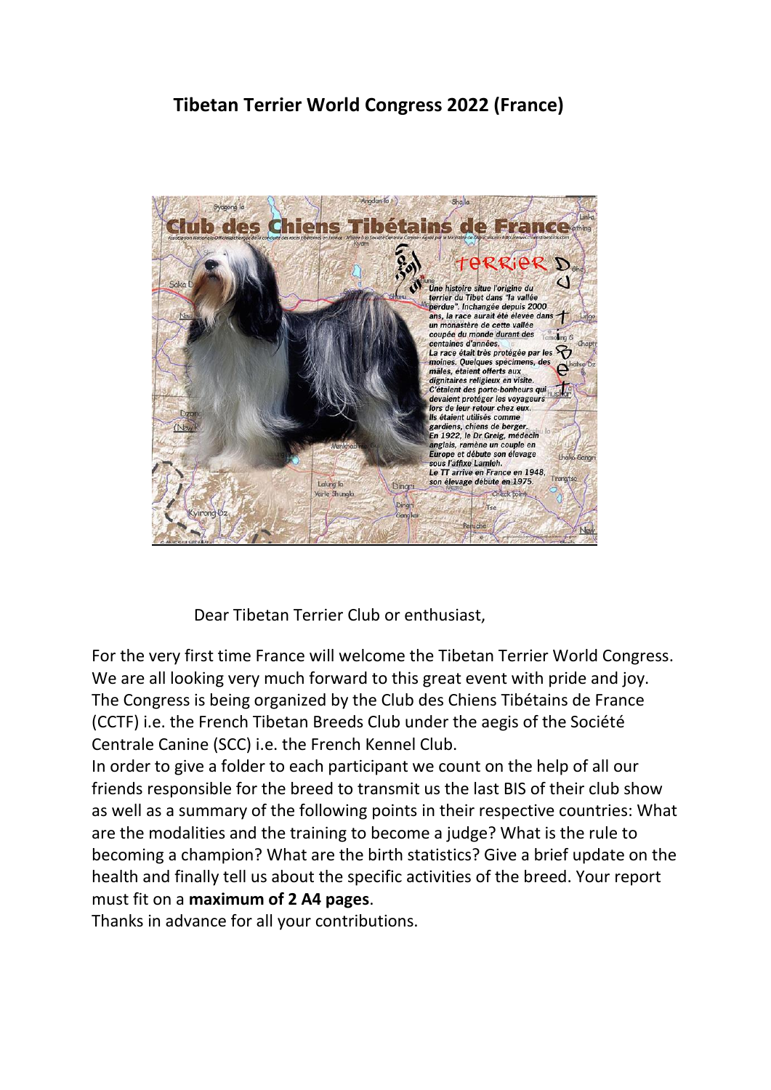# **Tibetan Terrier World Congress 2022 (France)**



Dear Tibetan Terrier Club or enthusiast,

For the very first time France will welcome the Tibetan Terrier World Congress. We are all looking very much forward to this great event with pride and joy. The Congress is being organized by the Club des Chiens Tibétains de France (CCTF) i.e. the French Tibetan Breeds Club under the aegis of the Société Centrale Canine (SCC) i.e. the French Kennel Club.

In order to give a folder to each participant we count on the help of all our friends responsible for the breed to transmit us the last BIS of their club show as well as a summary of the following points in their respective countries: What are the modalities and the training to become a judge? What is the rule to becoming a champion? What are the birth statistics? Give a brief update on the health and finally tell us about the specific activities of the breed. Your report must fit on a **maximum of 2 A4 pages**.

Thanks in advance for all your contributions.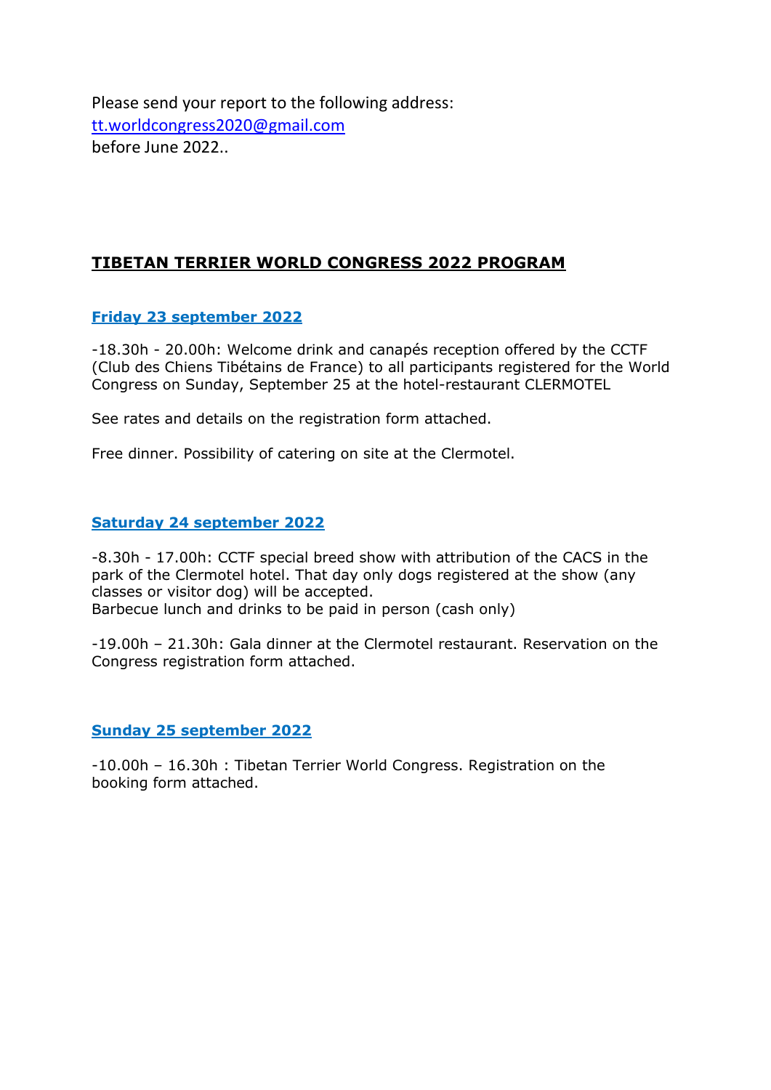Please send your report to the following address: [tt.worldcongress2020@gmail.com](mailto:tt.worldcongress2020@gmail.com) before June 2022..

# **TIBETAN TERRIER WORLD CONGRESS 2022 PROGRAM**

## **Friday 23 september 2022**

-18.30h - 20.00h: Welcome drink and canapés reception offered by the CCTF (Club des Chiens Tibétains de France) to all participants registered for the World Congress on Sunday, September 25 at the hotel-restaurant CLERMOTEL

See rates and details on the registration form attached.

Free dinner. Possibility of catering on site at the Clermotel.

## **Saturday 24 september 2022**

-8.30h - 17.00h: CCTF special breed show with attribution of the CACS in the park of the Clermotel hotel. That day only dogs registered at the show (any classes or visitor dog) will be accepted. Barbecue lunch and drinks to be paid in person (cash only)

-19.00h – 21.30h: Gala dinner at the Clermotel restaurant. Reservation on the Congress registration form attached.

### **Sunday 25 september 2022**

-10.00h – 16.30h : Tibetan Terrier World Congress. Registration on the booking form attached.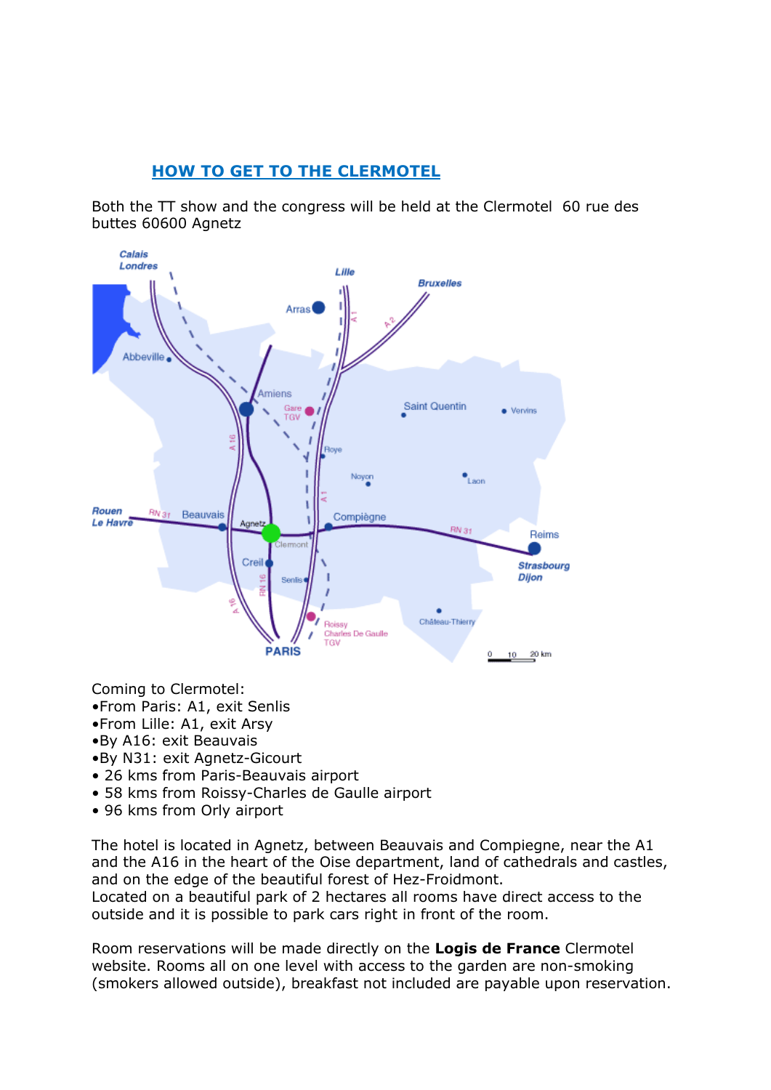# **HOW TO GET TO THE CLERMOTEL**

Both the TT show and the congress will be held at the Clermotel 60 rue des buttes 60600 Agnetz



Coming to Clermotel:

- •From Paris: A1, exit Senlis
- •From Lille: A1, exit Arsy
- •By A16: exit Beauvais
- •By N31: exit Agnetz-Gicourt
- 26 kms from Paris-Beauvais airport
- 58 kms from Roissy-Charles de Gaulle airport
- 96 kms from Orly airport

The hotel is located in Agnetz, between Beauvais and Compiegne, near the A1 and the A16 in the heart of the Oise department, land of cathedrals and castles, and on the edge of the beautiful forest of Hez-Froidmont.

Located on a beautiful park of 2 hectares all rooms have direct access to the outside and it is possible to park cars right in front of the room.

Room reservations will be made directly on the **Logis de France** Clermotel website. Rooms all on one level with access to the garden are non-smoking (smokers allowed outside), breakfast not included are payable upon reservation.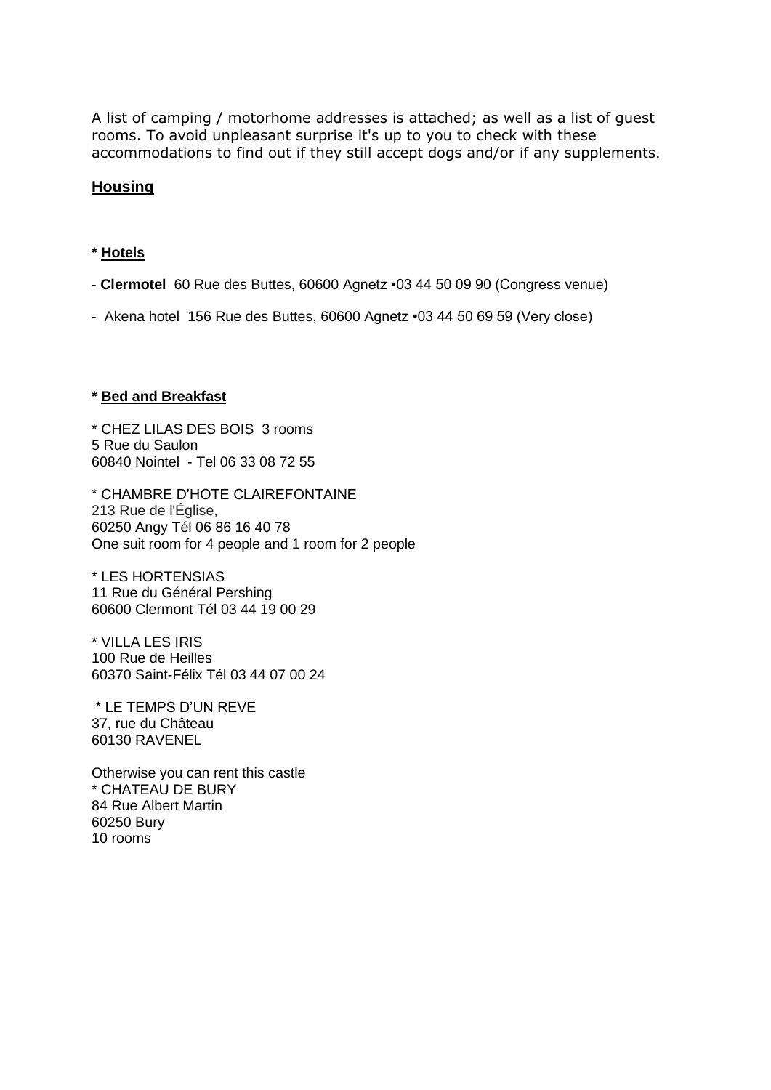A list of camping / motorhome addresses is attached; as well as a list of guest rooms. To avoid unpleasant surprise it's up to you to check with these accommodations to find out if they still accept dogs and/or if any supplements.

### **Housing**

### **\* Hotels**

- **Clermotel** 60 Rue des Buttes, 60600 Agnetz •03 44 50 09 90 (Congress venue)
- Akena hotel 156 Rue des Buttes, 60600 Agnetz •03 44 50 69 59 (Very close)

#### **\* Bed and Breakfast**

\* CHEZ LILAS DES BOIS 3 rooms 5 Rue du Saulon 60840 Nointel - Tel 06 33 08 72 55

\* CHAMBRE D'HOTE CLAIREFONTAINE 213 Rue de l'Église, 60250 Angy Tél 06 86 16 40 78 One suit room for 4 people and 1 room for 2 people

\* LES HORTENSIAS 11 Rue du Général Pershing 60600 Clermont Tél 03 44 19 00 29

\* VILLA LES IRIS 100 Rue de Heilles 60370 Saint-Félix Tél 03 44 07 00 24

\* LE TEMPS D'UN REVE 37, rue du Château 60130 RAVENEL

Otherwise you can rent this castle \* CHATEAU DE BURY 84 Rue Albert Martin 60250 Bury 10 rooms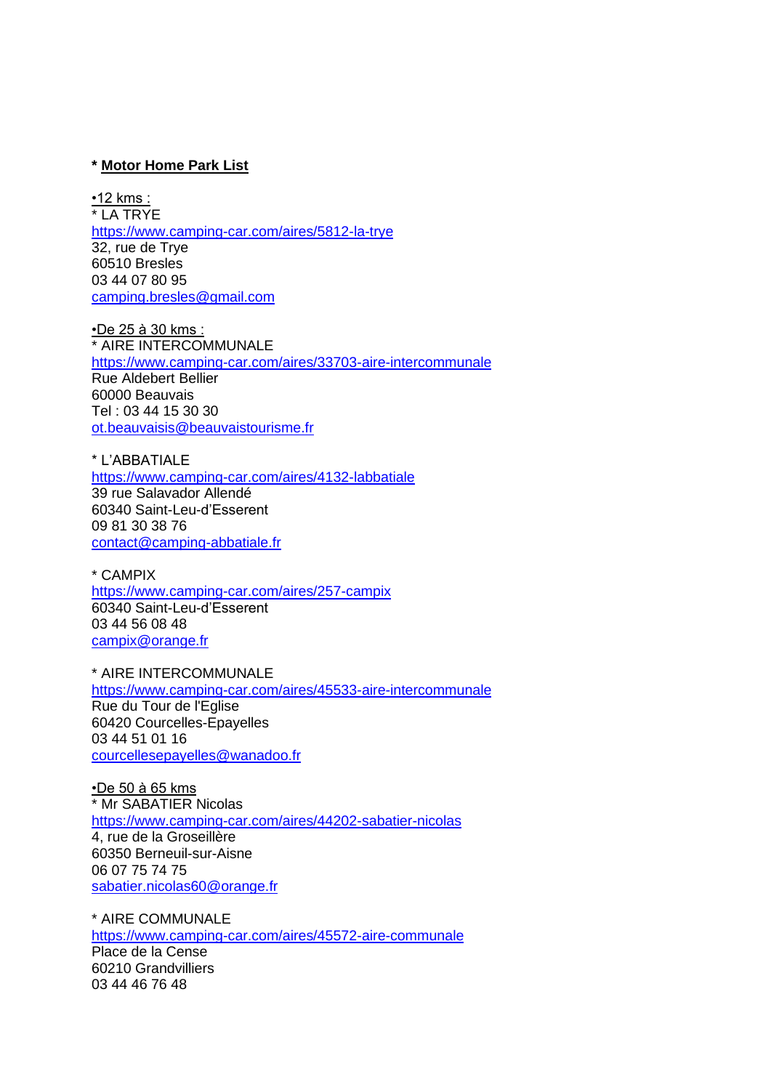#### **\* Motor Home Park List**

•12 kms : \* LA TRYE <https://www.camping-car.com/aires/5812-la-trye> 32, rue de Trye 60510 Bresles 03 44 07 80 95 [camping.bresles@gmail.com](mailto:camping.bresles@gmail.com)

•De 25 à 30 kms : \* AIRE INTERCOMMUNALE <https://www.camping-car.com/aires/33703-aire-intercommunale> Rue Aldebert Bellier 60000 Beauvais Tel : 03 44 15 30 30 [ot.beauvaisis@beauvaistourisme.fr](mailto:ot.beauvaisis@beauvaistourisme.fr)

\* L'ABBATIALE <https://www.camping-car.com/aires/4132-labbatiale> 39 rue Salavador Allendé 60340 Saint-Leu-d'Esserent 09 81 30 38 76 [contact@camping-abbatiale.fr](mailto:contact@camping-abbatiale.fr)

\* CAMPIX <https://www.camping-car.com/aires/257-campix> 60340 Saint-Leu-d'Esserent 03 44 56 08 48 [campix@orange.fr](mailto:campix@orange.fr)

\* AIRE INTERCOMMUNALE <https://www.camping-car.com/aires/45533-aire-intercommunale> Rue du Tour de l'Eglise 60420 Courcelles-Epayelles 03 44 51 01 16 [courcellesepayelles@wanadoo.fr](mailto:courcellesepayelles@wanadoo.fr)

•De 50 à 65 kms \* Mr SABATIER Nicolas <https://www.camping-car.com/aires/44202-sabatier-nicolas> 4, rue de la Groseillère 60350 Berneuil-sur-Aisne 06 07 75 74 75 [sabatier.nicolas60@orange.fr](mailto:sabatier.nicolas60@orange.fr)

\* AIRE COMMUNALE <https://www.camping-car.com/aires/45572-aire-communale> Place de la Cense 60210 Grandvilliers 03 44 46 76 48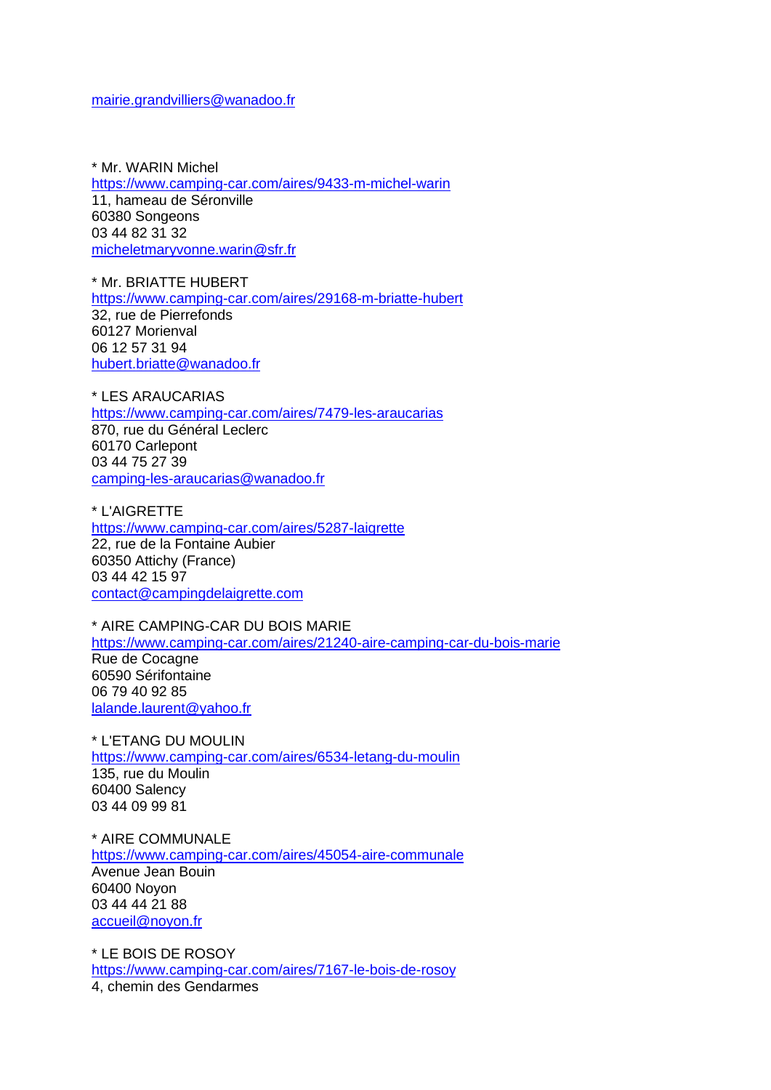[mairie.grandvilliers@wanadoo.fr](mailto:mairie.grandvilliers@wanadoo.fr)

\* Mr. WARIN Michel <https://www.camping-car.com/aires/9433-m-michel-warin> 11, hameau de Séronville 60380 Songeons 03 44 82 31 32 [micheletmaryvonne.warin@sfr.fr](mailto:micheletmaryvonne.warin@sfr.fr)

\* Mr. BRIATTE HUBERT <https://www.camping-car.com/aires/29168-m-briatte-hubert> 32, rue de Pierrefonds 60127 Morienval 06 12 57 31 94 [hubert.briatte@wanadoo.fr](mailto:hubert.briatte@wanadoo.fr)

\* LES ARAUCARIAS <https://www.camping-car.com/aires/7479-les-araucarias> 870, rue du Général Leclerc 60170 Carlepont 03 44 75 27 39 [camping-les-araucarias@wanadoo.fr](mailto:camping-les-araucarias@wanadoo.fr)

\* L'AIGRETTE <https://www.camping-car.com/aires/5287-laigrette> 22, rue de la Fontaine Aubier 60350 Attichy (France) 03 44 42 15 97 [contact@campingdelaigrette.com](mailto:contact@campingdelaigrette.com)

\* AIRE CAMPING-CAR DU BOIS MARIE <https://www.camping-car.com/aires/21240-aire-camping-car-du-bois-marie> Rue de Cocagne 60590 Sérifontaine 06 79 40 92 85 [lalande.laurent@yahoo.fr](mailto:lalande.laurent@yahoo.fr)

\* L'ETANG DU MOULIN <https://www.camping-car.com/aires/6534-letang-du-moulin> 135, rue du Moulin 60400 Salency 03 44 09 99 81

\* AIRE COMMUNALE <https://www.camping-car.com/aires/45054-aire-communale> Avenue Jean Bouin 60400 Noyon 03 44 44 21 88 [accueil@noyon.fr](mailto:accueil@noyon.fr)

\* LE BOIS DE ROSOY <https://www.camping-car.com/aires/7167-le-bois-de-rosoy> 4, chemin des Gendarmes